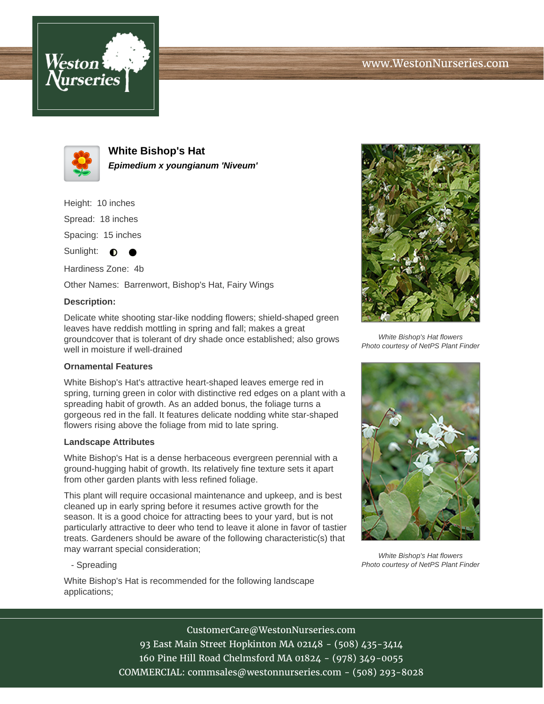



**White Bishop's Hat Epimedium x youngianum 'Niveum'**

Height: 10 inches

Spread: 18 inches

Spacing: 15 inches

Sunlight:  $\bullet$ 

Hardiness Zone: 4b

Other Names: Barrenwort, Bishop's Hat, Fairy Wings

## **Description:**

Delicate white shooting star-like nodding flowers; shield-shaped green leaves have reddish mottling in spring and fall; makes a great groundcover that is tolerant of dry shade once established; also grows well in moisture if well-drained

## **Ornamental Features**

White Bishop's Hat's attractive heart-shaped leaves emerge red in spring, turning green in color with distinctive red edges on a plant with a spreading habit of growth. As an added bonus, the foliage turns a gorgeous red in the fall. It features delicate nodding white star-shaped flowers rising above the foliage from mid to late spring.

## **Landscape Attributes**

White Bishop's Hat is a dense herbaceous evergreen perennial with a ground-hugging habit of growth. Its relatively fine texture sets it apart from other garden plants with less refined foliage.

This plant will require occasional maintenance and upkeep, and is best cleaned up in early spring before it resumes active growth for the season. It is a good choice for attracting bees to your yard, but is not particularly attractive to deer who tend to leave it alone in favor of tastier treats. Gardeners should be aware of the following characteristic(s) that may warrant special consideration;

- Spreading

White Bishop's Hat is recommended for the following landscape applications;



White Bishop's Hat flowers Photo courtesy of NetPS Plant Finder



White Bishop's Hat flowers Photo courtesy of NetPS Plant Finder

CustomerCare@WestonNurseries.com 93 East Main Street Hopkinton MA 02148 - (508) 435-3414 160 Pine Hill Road Chelmsford MA 01824 - (978) 349-0055 COMMERCIAL: commsales@westonnurseries.com - (508) 293-8028